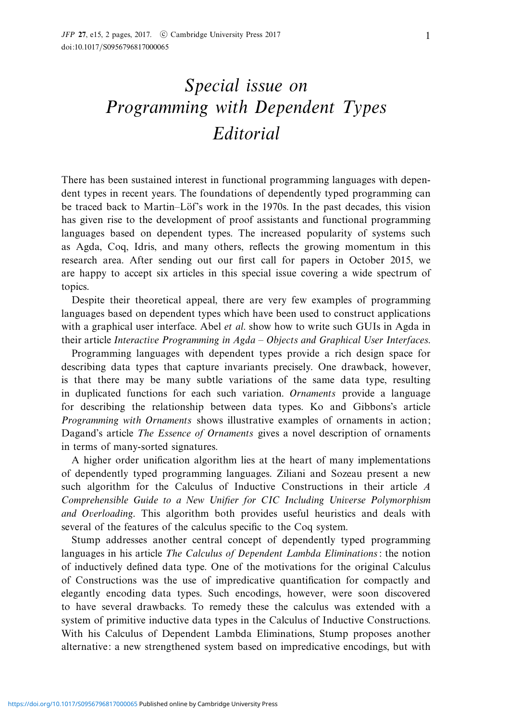## Special issue on Programming with Dependent Types Editorial

There has been sustained interest in functional programming languages with dependent types in recent years. The foundations of dependently typed programming can be traced back to Martin–Löf's work in the 1970s. In the past decades, this vision has given rise to the development of proof assistants and functional programming languages based on dependent types. The increased popularity of systems such as Agda, Coq, Idris, and many others, reflects the growing momentum in this research area. After sending out our first call for papers in October 2015, we are happy to accept six articles in this special issue covering a wide spectrum of topics.

Despite their theoretical appeal, there are very few examples of programming languages based on dependent types which have been used to construct applications with a graphical user interface. Abel et al. show how to write such GUIs in Agda in their article Interactive Programming in Agda – Objects and Graphical User Interfaces.

Programming languages with dependent types provide a rich design space for describing data types that capture invariants precisely. One drawback, however, is that there may be many subtle variations of the same data type, resulting in duplicated functions for each such variation. Ornaments provide a language for describing the relationship between data types. Ko and Gibbons's article Programming with Ornaments shows illustrative examples of ornaments in action; Dagand's article The Essence of Ornaments gives a novel description of ornaments in terms of many-sorted signatures.

A higher order unification algorithm lies at the heart of many implementations of dependently typed programming languages. Ziliani and Sozeau present a new such algorithm for the Calculus of Inductive Constructions in their article A Comprehensible Guide to a New Unifier for CIC Including Universe Polymorphism and Overloading. This algorithm both provides useful heuristics and deals with several of the features of the calculus specific to the Coq system.

Stump addresses another central concept of dependently typed programming languages in his article *The Calculus of Dependent Lambda Eliminations*: the notion of inductively defined data type. One of the motivations for the original Calculus of Constructions was the use of impredicative quantification for compactly and elegantly encoding data types. Such encodings, however, were soon discovered to have several drawbacks. To remedy these the calculus was extended with a system of primitive inductive data types in the Calculus of Inductive Constructions. With his Calculus of Dependent Lambda Eliminations, Stump proposes another alternative: a new strengthened system based on impredicative encodings, but with